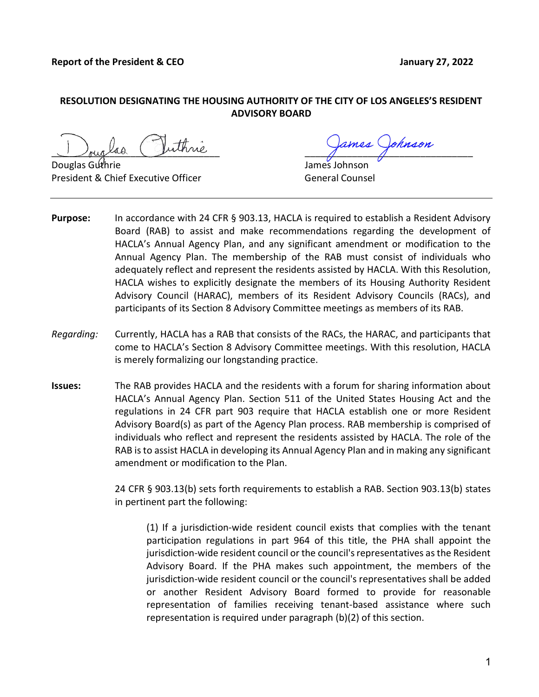## RESOLUTION DESIGNATING THE HOUSING AUTHORITY OF THE CITY OF LOS ANGELES'S RESIDENT ADVISORY BOARD

 $\frac{1}{\sqrt{2\pi}}$  as  $\frac{1}{\sqrt{2\pi}}$ 

Douglas Guthrie James Johnson President & Chief Executive Officer Communication of General Counsel

- **Purpose:** In accordance with 24 CFR § 903.13, HACLA is required to establish a Resident Advisory Board (RAB) to assist and make recommendations regarding the development of HACLA's Annual Agency Plan, and any significant amendment or modification to the Annual Agency Plan. The membership of the RAB must consist of individuals who adequately reflect and represent the residents assisted by HACLA. With this Resolution, HACLA wishes to explicitly designate the members of its Housing Authority Resident Advisory Council (HARAC), members of its Resident Advisory Councils (RACs), and participants of its Section 8 Advisory Committee meetings as members of its RAB.
- Regarding: Currently, HACLA has a RAB that consists of the RACs, the HARAC, and participants that come to HACLA's Section 8 Advisory Committee meetings. With this resolution, HACLA is merely formalizing our longstanding practice.
- Issues: The RAB provides HACLA and the residents with a forum for sharing information about HACLA's Annual Agency Plan. Section 511 of the United States Housing Act and the regulations in 24 CFR part 903 require that HACLA establish one or more Resident Advisory Board(s) as part of the Agency Plan process. RAB membership is comprised of individuals who reflect and represent the residents assisted by HACLA. The role of the RAB is to assist HACLA in developing its Annual Agency Plan and in making any significant amendment or modification to the Plan.

24 CFR § 903.13(b) sets forth requirements to establish a RAB. Section 903.13(b) states in pertinent part the following:

(1) If a jurisdiction-wide resident council exists that complies with the tenant participation regulations in part 964 of this title, the PHA shall appoint the jurisdiction-wide resident council or the council's representatives as the Resident Advisory Board. If the PHA makes such appointment, the members of the jurisdiction-wide resident council or the council's representatives shall be added or another Resident Advisory Board formed to provide for reasonable representation of families receiving tenant-based assistance where such representation is required under paragraph (b)(2) of this section.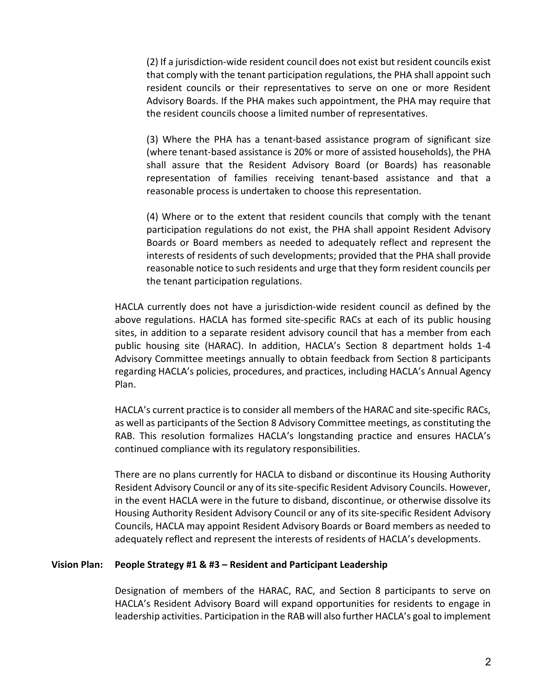(2) If a jurisdiction-wide resident council does not exist but resident councils exist that comply with the tenant participation regulations, the PHA shall appoint such resident councils or their representatives to serve on one or more Resident Advisory Boards. If the PHA makes such appointment, the PHA may require that the resident councils choose a limited number of representatives.

 (3) Where the PHA has a tenant-based assistance program of significant size (where tenant-based assistance is 20% or more of assisted households), the PHA shall assure that the Resident Advisory Board (or Boards) has reasonable representation of families receiving tenant-based assistance and that a reasonable process is undertaken to choose this representation.

 (4) Where or to the extent that resident councils that comply with the tenant participation regulations do not exist, the PHA shall appoint Resident Advisory Boards or Board members as needed to adequately reflect and represent the interests of residents of such developments; provided that the PHA shall provide reasonable notice to such residents and urge that they form resident councils per the tenant participation regulations.

 HACLA currently does not have a jurisdiction-wide resident council as defined by the above regulations. HACLA has formed site-specific RACs at each of its public housing sites, in addition to a separate resident advisory council that has a member from each public housing site (HARAC). In addition, HACLA's Section 8 department holds 1-4 Advisory Committee meetings annually to obtain feedback from Section 8 participants regarding HACLA's policies, procedures, and practices, including HACLA's Annual Agency Plan.

 HACLA's current practice is to consider all members of the HARAC and site-specific RACs, as well as participants of the Section 8 Advisory Committee meetings, as constituting the RAB. This resolution formalizes HACLA's longstanding practice and ensures HACLA's continued compliance with its regulatory responsibilities.

 There are no plans currently for HACLA to disband or discontinue its Housing Authority Resident Advisory Council or any of its site-specific Resident Advisory Councils. However, in the event HACLA were in the future to disband, discontinue, or otherwise dissolve its Housing Authority Resident Advisory Council or any of its site-specific Resident Advisory Councils, HACLA may appoint Resident Advisory Boards or Board members as needed to adequately reflect and represent the interests of residents of HACLA's developments.

### Vision Plan: People Strategy #1 & #3 – Resident and Participant Leadership

Designation of members of the HARAC, RAC, and Section 8 participants to serve on HACLA's Resident Advisory Board will expand opportunities for residents to engage in leadership activities. Participation in the RAB will also further HACLA's goal to implement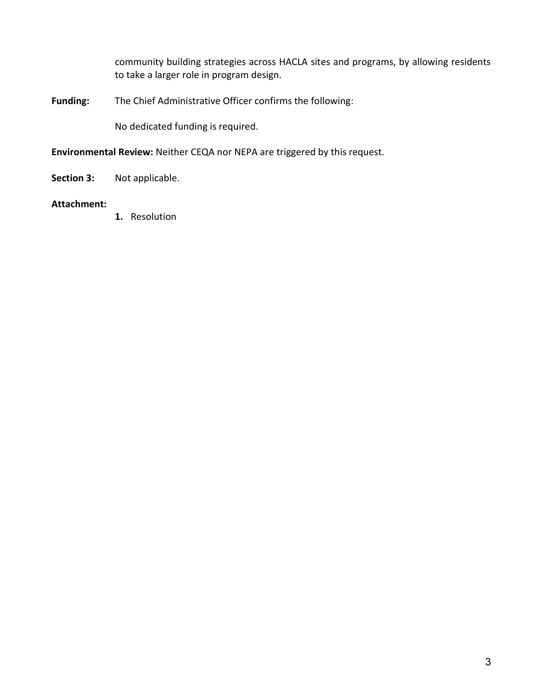community building strategies across HACLA sites and programs, by allowing residents to take a larger role in program design.

Funding: The Chief Administrative Officer confirms the following:

No dedicated funding is required.

Environmental Review: Neither CEQA nor NEPA are triggered by this request.

Section 3: Not applicable.

## Attachment:

1. Resolution